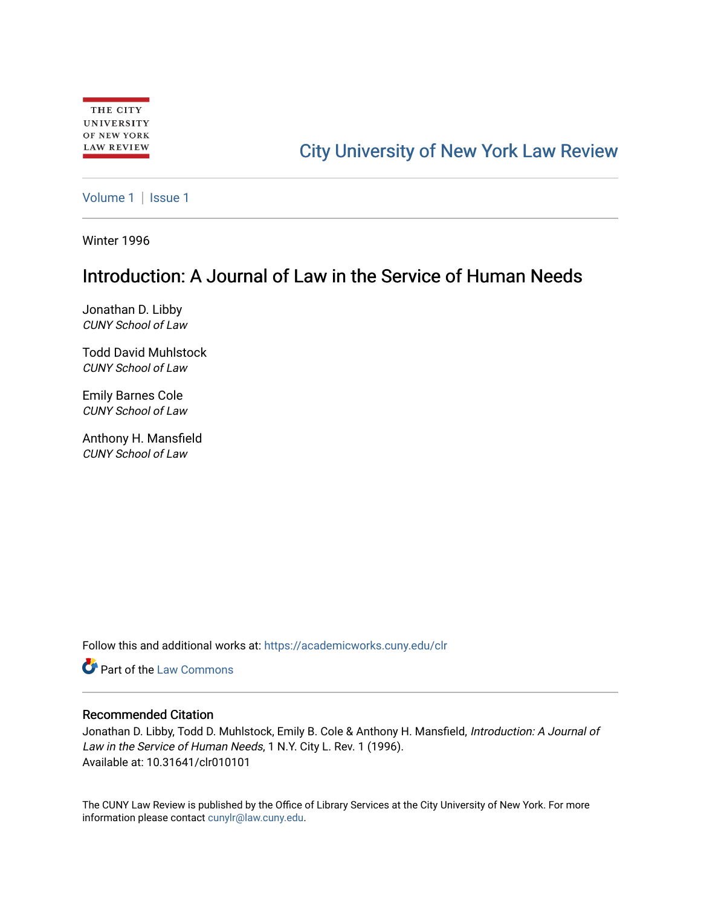## [City University of New York Law Review](https://academicworks.cuny.edu/clr)

[Volume 1](https://academicworks.cuny.edu/clr/vol1) | Issue 1

Winter 1996

## Introduction: A Journal of Law in the Service of Human Needs

Jonathan D. Libby CUNY School of Law

Todd David Muhlstock CUNY School of Law

Emily Barnes Cole CUNY School of Law

Anthony H. Mansfield CUNY School of Law

Follow this and additional works at: [https://academicworks.cuny.edu/clr](https://academicworks.cuny.edu/clr?utm_source=academicworks.cuny.edu%2Fclr%2Fvol1%2Fiss1%2F2&utm_medium=PDF&utm_campaign=PDFCoverPages) 

**C** Part of the [Law Commons](http://network.bepress.com/hgg/discipline/578?utm_source=academicworks.cuny.edu%2Fclr%2Fvol1%2Fiss1%2F2&utm_medium=PDF&utm_campaign=PDFCoverPages)

## Recommended Citation

Jonathan D. Libby, Todd D. Muhlstock, Emily B. Cole & Anthony H. Mansfield, Introduction: A Journal of Law in the Service of Human Needs, 1 N.Y. City L. Rev. 1 (1996). Available at: 10.31641/clr010101

The CUNY Law Review is published by the Office of Library Services at the City University of New York. For more information please contact [cunylr@law.cuny.edu](mailto:cunylr@law.cuny.edu).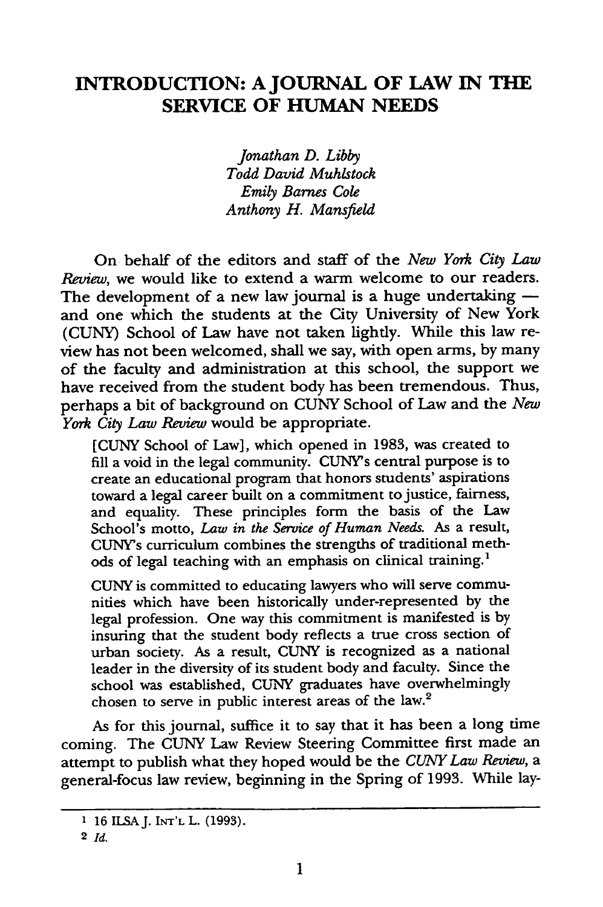## **INTRODUCTION: A JOURNAL OF LAW IN THE SERVICE OF HUMAN NEEDS**

*Jonathan D. Libby Todd David Muhlstock Emily Barnes Cole Anthony H. Mansfield*

On behalf of the editors and staff of the *New York City Law Review,* we would like to extend a warm welcome to our readers. The development of a new law journal is a huge undertaking  and one which the students at the City University of New York (CUNY) School of Law have not taken lightly. While this law review has not been welcomed, shall we say, with open arms, by many of the faculty and administration at this school, the support we have received from the student body has been tremendous. Thus, perhaps a bit of background on CUNY School of Law and the *New York City Law Review* would be appropriate.

[CUNY School of Law], which opened in 1983, was created to fill a void in the legal community. CUNY's central purpose is to create an educational program that honors students' aspirations toward a legal career built on a commitment to justice, fairness, and equality. These principles form the basis of the Law School's motto, *Law in the Service of Human Needs.* As a result, CUNY's curriculum combines the strengths of traditional methods of legal teaching with an emphasis on clinical training.<sup>1</sup>

CUNY is committed to educating lawyers who will serve communities which have been historically under-represented by the legal profession. One way this commitment is manifested is by insuring that the student body reflects a true cross section of urban society. As a result, CUNY is recognized as a national leader in the diversity of its student body and faculty. Since the school was established, CUNY graduates have overwhelmingly chosen to serve in public interest areas of the law.2

As for this journal, suffice it to say that it has been a long time coming. The CUNY Law Review Steering Committee first made an attempt to publish what they hoped would be the *CUNY Law Review, a* general-focus law review, beginning in the Spring of 1993. While lay-

**<sup>1</sup>** 16 ILSAJ. **INT'L** L. (1993).

**<sup>2</sup>** *Id.*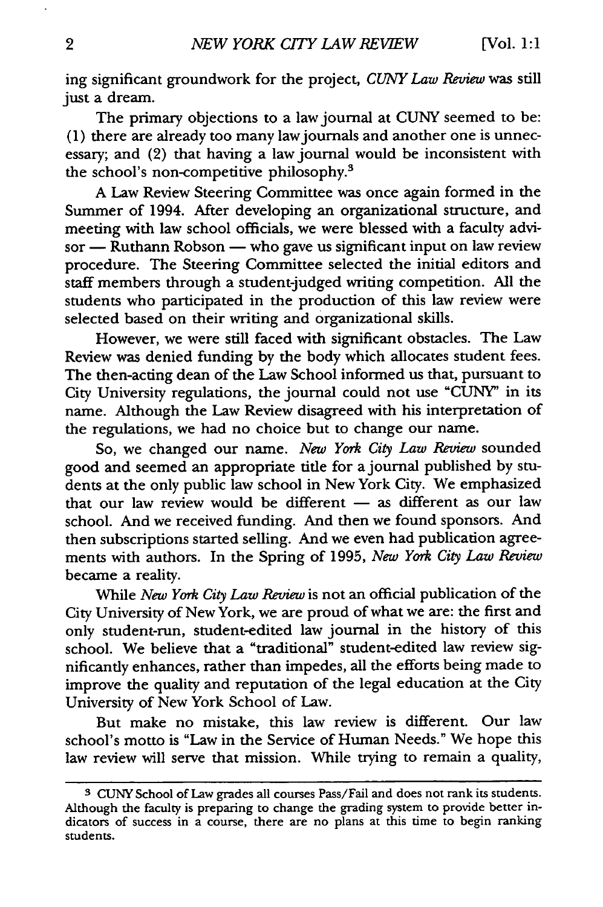ing significant groundwork for the project, *CUNY Law Review* was still just a dream.

The primary objections to a law journal at CUNY seemed to be: (1) there are already too many lawjournals and another one is unnecessary; and (2) that having a law journal would be inconsistent with the school's non-competitive philosophy.<sup>3</sup>

A Law Review Steering Committee was once again formed in the Summer of 1994. After developing an organizational structure, and meeting with law school officials, we were blessed with a faculty advisor **-** Ruthann Robson **-** who gave us significant input on law review procedure. The Steering Committee selected the initial editors and staff members through a student-judged writing competition. All the students who participated in the production of this law review were selected based on their writing and organizational skills.

However, we were still faced with significant obstacles. The Law Review was denied funding by the body which allocates student fees. The then-acting dean of the Law School informed us that, pursuant to City University regulations, the journal could not use "CUNY' in its name. Although the Law Review disagreed with his interpretation of the regulations, we had no choice but to change our name.

So, we changed our name. *New York City Law Review* sounded good and seemed an appropriate title for a journal published by students at the only public law school in New York City. We emphasized that our law review would be different - as different as our law school. And we received funding. And then we found sponsors. And then subscriptions started selling. And we even had publication agreements with authors. In the Spring of 1995, *New York City Law Review* became a reality.

While *New York City Law Review* is not an official publication of the City University of New York, we are proud of what we are: the first and only student-run, student-edited law journal in the history of this school. We believe that a "traditional" student-edited law review significantly enhances, rather than impedes, all the efforts being made to improve the quality and reputation of the legal education at the City University of New York School of Law.

But make no mistake, this law review is different. Our law school's motto is "Law in the Service of Human Needs." We hope this law review will serve that mission. While trying to remain a quality,

**<sup>3</sup>**CUNY School of Law grades all courses Pass/Fail and does not rank its students. Although the faculty is preparing to change the grading system to provide better indicators of success in a course, there are no plans at this time to begin ranking students.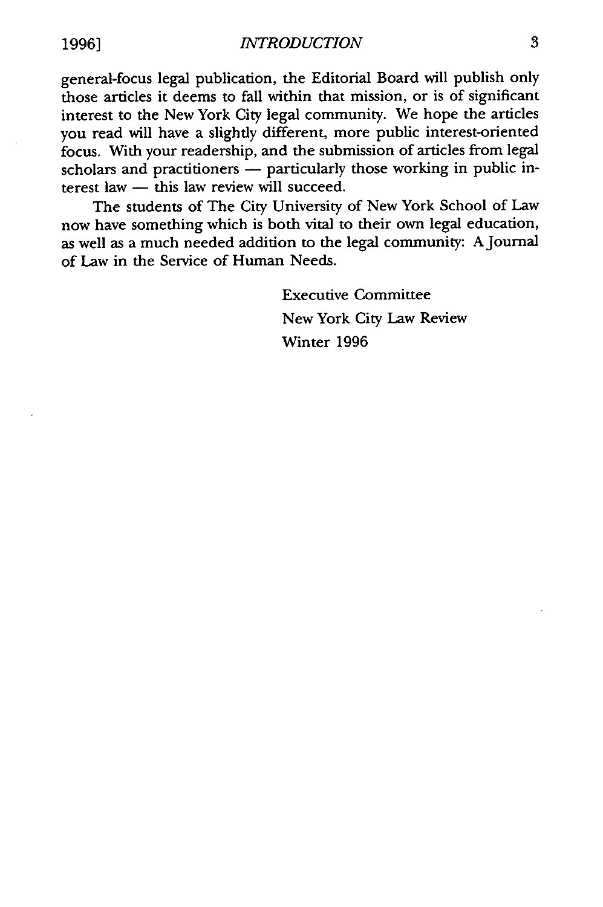general-focus legal publication, the Editorial Board will publish only those articles it deems to fall within that mission, or is of significant interest to the New York City legal community. We hope the articles you read will have a slightly different, more public interest-oriented focus. With your readership, and the submission of articles from legal scholars and practitioners - particularly those working in public interest law  $-$  this law review will succeed.

The students of The City University of New York School of Law now have something which is both vital to their own legal education, as well as a much needed addition to the legal community: A Journal of Law in the Service of Human Needs.

> Executive Committee New York City Law Review Winter 1996